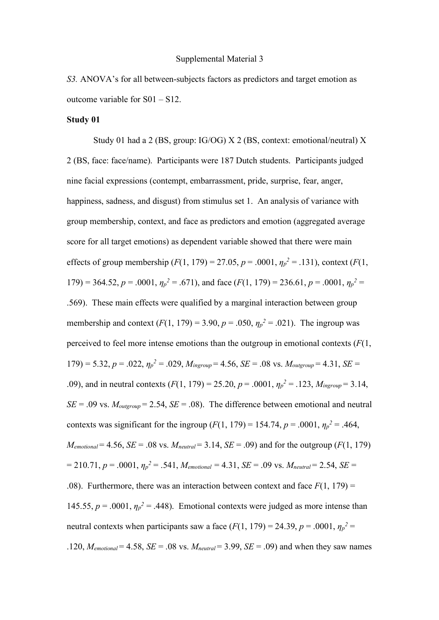#### Supplemental Material 3

*S3.* ANOVA's for all between-subjects factors as predictors and target emotion as outcome variable for S01 – S12.

### **Study 01**

Study 01 had a 2 (BS, group: IG/OG) X 2 (BS, context: emotional/neutral) X 2 (BS, face: face/name). Participants were 187 Dutch students. Participants judged nine facial expressions (contempt, embarrassment, pride, surprise, fear, anger, happiness, sadness, and disgust) from stimulus set 1. An analysis of variance with group membership, context, and face as predictors and emotion (aggregated average score for all target emotions) as dependent variable showed that there were main effects of group membership  $(F(1, 179) = 27.05, p = .0001, \eta_p^2 = .131)$ , context  $(F(1,$ 179) = 364.52,  $p = .0001$ ,  $\eta_p^2 = .671$ , and face ( $F(1, 179) = 236.61$ ,  $p = .0001$ ,  $\eta_p^2 =$ .569). These main effects were qualified by a marginal interaction between group membership and context  $(F(1, 179) = 3.90, p = .050, \eta_p^2 = .021)$ . The ingroup was perceived to feel more intense emotions than the outgroup in emotional contexts (*F*(1,  $179$ ) = 5.32,  $p = .022$ ,  $\eta_p^2 = .029$ ,  $M_{\text{ingroup}} = 4.56$ ,  $SE = .08$  vs.  $M_{\text{outgroup}} = 4.31$ ,  $SE =$ .09), and in neutral contexts  $(F(1, 179) = 25.20, p = .0001, \eta_p^2 = .123, M_{\text{ingroup}} = 3.14,$  $SE = .09$  vs.  $M_{outgroup} = 2.54$ ,  $SE = .08$ ). The difference between emotional and neutral contexts was significant for the ingroup  $(F(1, 179) = 154.74, p = .0001, \eta_p^2 = .464,$  $M_{emotional} = 4.56$ , *SE* = .08 vs.  $M_{neutral} = 3.14$ , *SE* = .09) and for the outgroup (*F*(1, 179)  $= 210.71, p = .0001, \eta_p^2 = .541, M_{emotional} = 4.31, SE = .09$  vs.  $M_{neutral} = 2.54, SE = .09$ .08). Furthermore, there was an interaction between context and face  $F(1, 179) =$ 145.55,  $p = .0001$ ,  $\eta_p^2 = .448$ ). Emotional contexts were judged as more intense than neutral contexts when participants saw a face  $(F(1, 179) = 24.39, p = .0001, \eta_p^2 =$ .120,  $M_{emotional} = 4.58$ ,  $SE = .08$  vs.  $M_{neutral} = 3.99$ ,  $SE = .09$ ) and when they saw names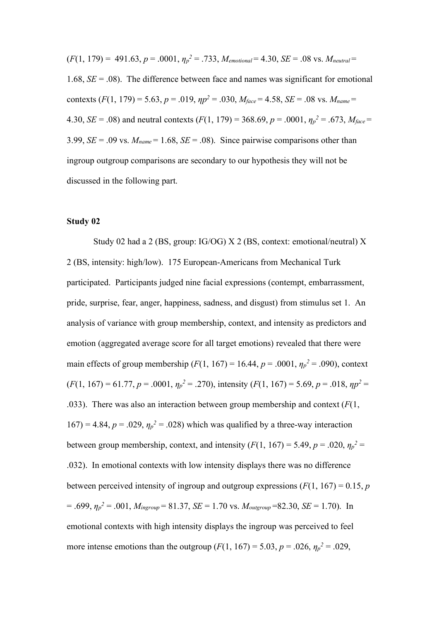$(F(1, 179) = 491.63, p = .0001, \eta_p^2 = .733, M_{emotional} = 4.30, SE = .08$  vs.  $M_{neutral} =$ 1.68,  $SE = .08$ ). The difference between face and names was significant for emotional contexts  $(F(1, 179) = 5.63, p = .019, \eta p^2 = .030, M_{face} = 4.58, SE = .08$  vs.  $M_{name} =$ 4.30, *SE* = .08) and neutral contexts  $(F(1, 179) = 368.69, p = .0001, \eta_p^2 = .673, M_{face} =$ 3.99,  $SE = .09$  vs.  $M_{name} = 1.68$ ,  $SE = .08$ ). Since pairwise comparisons other than ingroup outgroup comparisons are secondary to our hypothesis they will not be discussed in the following part.

# **Study 02**

Study 02 had a 2 (BS, group: IG/OG) X 2 (BS, context: emotional/neutral) X 2 (BS, intensity: high/low). 175 European-Americans from Mechanical Turk participated. Participants judged nine facial expressions (contempt, embarrassment, pride, surprise, fear, anger, happiness, sadness, and disgust) from stimulus set 1. An analysis of variance with group membership, context, and intensity as predictors and emotion (aggregated average score for all target emotions) revealed that there were main effects of group membership (*F*(1, 167) = 16.44,  $p = .0001$ ,  $\eta_p^2 = .090$ ), context  $(F(1, 167) = 61.77, p = .0001, \eta_p^2 = .270)$ , intensity  $(F(1, 167) = 5.69, p = .018, \eta_p^2 = .018$ .033). There was also an interaction between group membership and context (*F*(1,  $167$ ) = 4.84,  $p = .029$ ,  $\eta_p^2 = .028$ ) which was qualified by a three-way interaction between group membership, context, and intensity  $(F(1, 167) = 5.49, p = .020, \eta_p^2 =$ .032). In emotional contexts with low intensity displays there was no difference between perceived intensity of ingroup and outgroup expressions  $(F(1, 167) = 0.15, p$  $= .699, \eta_p^2 = .001, M_{\text{ingroup}} = 81.37, SE = 1.70$  vs.  $M_{\text{outgroup}} = 82.30, SE = 1.70$ ). In emotional contexts with high intensity displays the ingroup was perceived to feel more intense emotions than the outgroup  $(F(1, 167) = 5.03, p = .026, \eta_p^2 = .029,$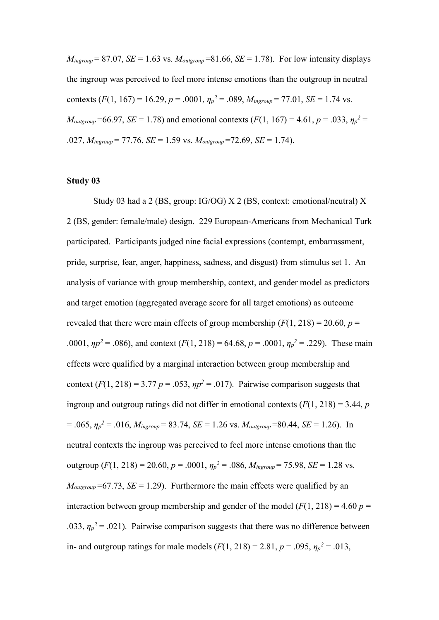$M_{\text{ingroup}} = 87.07$ , *SE* = 1.63 vs.  $M_{\text{outgroup}} = 81.66$ , *SE* = 1.78). For low intensity displays the ingroup was perceived to feel more intense emotions than the outgroup in neutral contexts (*F*(1, 167) = 16.29, *p* = .0001,  $\eta_p^2$  = .089,  $M_{\text{ingroup}}$  = 77.01, *SE* = 1.74 vs.  $M_{\text{outgroup}}$ =66.97, *SE* = 1.78) and emotional contexts ( $F(1, 167)$  = 4.61,  $p = .033$ ,  $\eta_p^2$  = .027, *Mingroup* = 77.76, *SE* = 1.59 vs. *Moutgroup* =72.69, *SE* = 1.74).

## **Study 03**

Study 03 had a 2 (BS, group: IG/OG) X 2 (BS, context: emotional/neutral) X 2 (BS, gender: female/male) design. 229 European-Americans from Mechanical Turk participated. Participants judged nine facial expressions (contempt, embarrassment, pride, surprise, fear, anger, happiness, sadness, and disgust) from stimulus set 1. An analysis of variance with group membership, context, and gender model as predictors and target emotion (aggregated average score for all target emotions) as outcome revealed that there were main effects of group membership  $(F(1, 218) = 20.60, p =$ .0001,  $\eta p^2 = .086$ ), and context (*F*(1, 218) = 64.68, *p* = .0001,  $\eta p^2 = .229$ ). These main effects were qualified by a marginal interaction between group membership and context  $(F(1, 218) = 3.77$   $p = .053$ ,  $np^2 = .017$ ). Pairwise comparison suggests that ingroup and outgroup ratings did not differ in emotional contexts  $(F(1, 218) = 3.44, p$  $= .065$ ,  $\eta_p^2 = .016$ ,  $M_{\text{ingroup}} = 83.74$ ,  $SE = 1.26$  vs.  $M_{\text{outgroup}} = 80.44$ ,  $SE = 1.26$ ). In neutral contexts the ingroup was perceived to feel more intense emotions than the outgroup  $(F(1, 218) = 20.60, p = .0001, \eta_p^2 = .086, M_{\text{ingroup}} = 75.98, SE = 1.28 \text{ vs.}$  $M_{\text{outgroup}}$ =67.73, *SE* = 1.29). Furthermore the main effects were qualified by an interaction between group membership and gender of the model  $(F(1, 218) = 4.60 p =$ .033,  $\eta_p^2$  = .021). Pairwise comparison suggests that there was no difference between in- and outgroup ratings for male models  $(F(1, 218) = 2.81, p = .095, \eta_p^2 = .013,$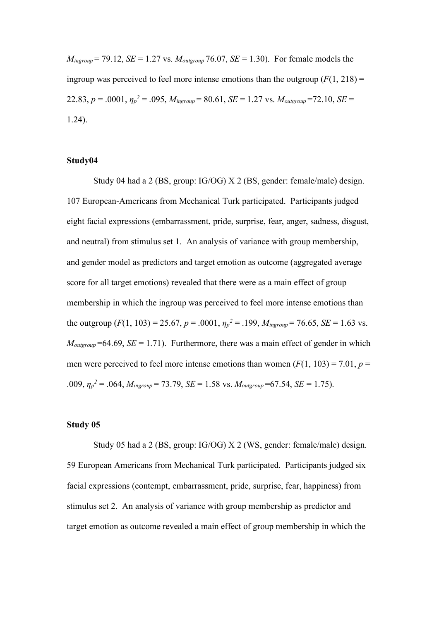$M_{\text{ingroup}}$  = 79.12, *SE* = 1.27 vs.  $M_{\text{outgroup}}$  76.07, *SE* = 1.30). For female models the ingroup was perceived to feel more intense emotions than the outgroup  $(F(1, 218))$  = 22.83,  $p = .0001$ ,  $\eta_p^2 = .095$ ,  $M_{ingroup} = 80.61$ ,  $SE = 1.27$  vs.  $M_{outgroup} = 72.10$ ,  $SE =$ 1.24).

### **Study04**

Study 04 had a 2 (BS, group: IG/OG) X 2 (BS, gender: female/male) design. 107 European-Americans from Mechanical Turk participated. Participants judged eight facial expressions (embarrassment, pride, surprise, fear, anger, sadness, disgust, and neutral) from stimulus set 1. An analysis of variance with group membership, and gender model as predictors and target emotion as outcome (aggregated average score for all target emotions) revealed that there were as a main effect of group membership in which the ingroup was perceived to feel more intense emotions than the outgroup  $(F(1, 103) = 25.67, p = .0001, \eta_p^2 = .199, M_{\text{ingroup}} = 76.65, SE = 1.63 \text{ vs.}$  $M_{\text{outgroup}}$ =64.69, *SE* = 1.71). Furthermore, there was a main effect of gender in which men were perceived to feel more intense emotions than women  $(F(1, 103) = 7.01, p =$ .009,  $\eta_p^2 = .064$ ,  $M_{\text{ingroup}} = 73.79$ ,  $SE = 1.58$  vs.  $M_{\text{outgroup}} = 67.54$ ,  $SE = 1.75$ ).

## **Study 05**

Study 05 had a 2 (BS, group: IG/OG) X 2 (WS, gender: female/male) design. 59 European Americans from Mechanical Turk participated. Participants judged six facial expressions (contempt, embarrassment, pride, surprise, fear, happiness) from stimulus set 2. An analysis of variance with group membership as predictor and target emotion as outcome revealed a main effect of group membership in which the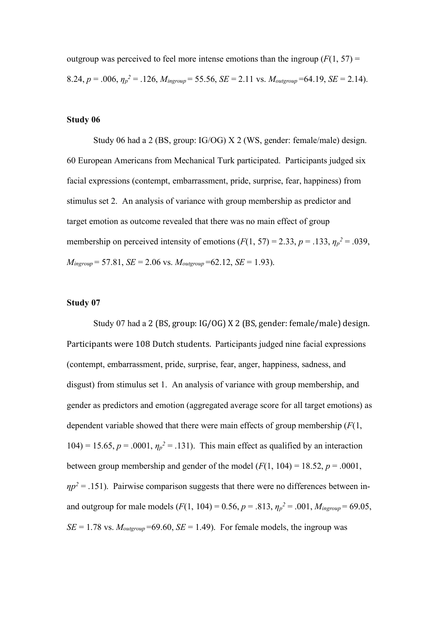outgroup was perceived to feel more intense emotions than the ingroup  $(F(1, 57))$  = 8.24,  $p = .006$ ,  $\eta_p^2 = .126$ ,  $M_{\text{ingroup}} = 55.56$ ,  $SE = 2.11$  vs.  $M_{\text{outgroup}} = 64.19$ ,  $SE = 2.14$ ).

## **Study 06**

Study 06 had a 2 (BS, group: IG/OG) X 2 (WS, gender: female/male) design. 60 European Americans from Mechanical Turk participated. Participants judged six facial expressions (contempt, embarrassment, pride, surprise, fear, happiness) from stimulus set 2. An analysis of variance with group membership as predictor and target emotion as outcome revealed that there was no main effect of group membership on perceived intensity of emotions  $(F(1, 57) = 2.33, p = .133, \eta_p^2 = .039,$  $M_{\text{inorum}} = 57.81$ ,  $SE = 2.06$  vs.  $M_{\text{outorum}} = 62.12$ ,  $SE = 1.93$ ).

## **Study 07**

Study 07 had a 2 (BS, group: IG/OG) X 2 (BS, gender: female/male) design. Participants were 108 Dutch students. Participants judged nine facial expressions (contempt, embarrassment, pride, surprise, fear, anger, happiness, sadness, and disgust) from stimulus set 1. An analysis of variance with group membership, and gender as predictors and emotion (aggregated average score for all target emotions) as dependent variable showed that there were main effects of group membership (*F*(1, 104) = 15.65,  $p = .0001$ ,  $\eta_p^2 = .131$ ). This main effect as qualified by an interaction between group membership and gender of the model  $(F(1, 104) = 18.52, p = .0001,$  $np^2 = 0.151$ . Pairwise comparison suggests that there were no differences between inand outgroup for male models ( $F(1, 104) = 0.56$ ,  $p = .813$ ,  $\eta_p^2 = .001$ ,  $M_{\text{ingroup}} = 69.05$ ,  $SE = 1.78$  vs.  $M_{outgroup} = 69.60$ ,  $SE = 1.49$ ). For female models, the ingroup was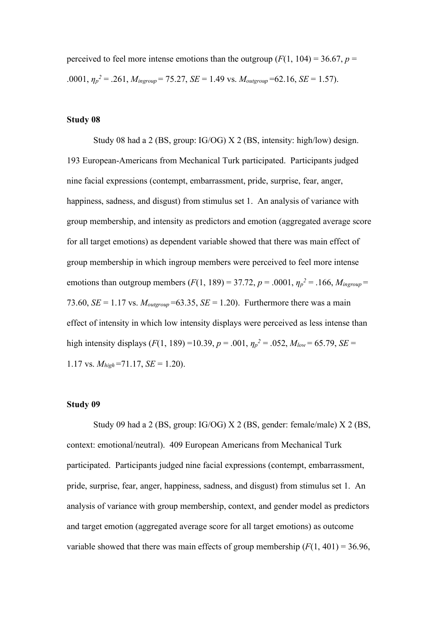perceived to feel more intense emotions than the outgroup  $(F(1, 104) = 36.67, p =$ .0001,  $\eta_p^2 = .261$ ,  $M_{\text{ingroup}} = 75.27$ ,  $SE = 1.49$  vs.  $M_{\text{outgroup}} = 62.16$ ,  $SE = 1.57$ ).

# **Study 08**

Study 08 had a 2 (BS, group: IG/OG) X 2 (BS, intensity: high/low) design. 193 European-Americans from Mechanical Turk participated. Participants judged nine facial expressions (contempt, embarrassment, pride, surprise, fear, anger, happiness, sadness, and disgust) from stimulus set 1. An analysis of variance with group membership, and intensity as predictors and emotion (aggregated average score for all target emotions) as dependent variable showed that there was main effect of group membership in which ingroup members were perceived to feel more intense emotions than outgroup members  $(F(1, 189) = 37.72, p = .0001, \eta_p^2 = .166, M_{\text{insroup}} =$ 73.60,  $SE = 1.17$  vs.  $M_{outeroup} = 63.35$ ,  $SE = 1.20$ ). Furthermore there was a main effect of intensity in which low intensity displays were perceived as less intense than high intensity displays ( $F(1, 189) = 10.39$ ,  $p = .001$ ,  $\eta_p^2 = .052$ ,  $M_{low} = 65.79$ ,  $SE =$ 1.17 vs.  $M_{high}$  =71.17, *SE* = 1.20).

#### **Study 09**

Study 09 had a 2 (BS, group: IG/OG) X 2 (BS, gender: female/male) X 2 (BS, context: emotional/neutral). 409 European Americans from Mechanical Turk participated. Participants judged nine facial expressions (contempt, embarrassment, pride, surprise, fear, anger, happiness, sadness, and disgust) from stimulus set 1. An analysis of variance with group membership, context, and gender model as predictors and target emotion (aggregated average score for all target emotions) as outcome variable showed that there was main effects of group membership  $(F(1, 401) = 36.96$ ,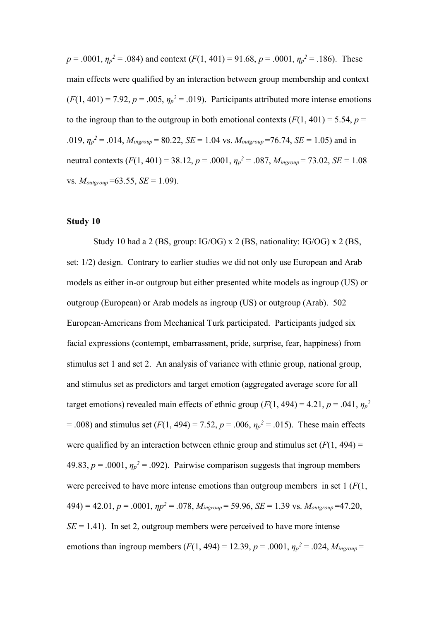$p = .0001$ ,  $\eta_p^2 = .084$ ) and context  $(F(1, 401) = 91.68, p = .0001, \eta_p^2 = .186)$ . These main effects were qualified by an interaction between group membership and context  $(F(1, 401) = 7.92, p = .005, \eta_p^2 = .019)$ . Participants attributed more intense emotions to the ingroup than to the outgroup in both emotional contexts  $(F(1, 401) = 5.54, p =$ .019,  $\eta_p^2 = .014$ ,  $M_{\text{ingroup}} = 80.22$ ,  $SE = 1.04$  vs.  $M_{\text{outgroup}} = 76.74$ ,  $SE = 1.05$ ) and in neutral contexts (*F*(1, 401) = 38.12, *p* = .0001, *η<sup>p</sup> <sup>2</sup>* = .087, *Mingroup* = 73.02, *SE* = 1.08 vs. *Moutgroup* =63.55, *SE* = 1.09).

# **Study 10**

Study 10 had a 2 (BS, group: IG/OG) x 2 (BS, nationality: IG/OG) x 2 (BS, set: 1/2) design. Contrary to earlier studies we did not only use European and Arab models as either in-or outgroup but either presented white models as ingroup (US) or outgroup (European) or Arab models as ingroup (US) or outgroup (Arab). 502 European-Americans from Mechanical Turk participated. Participants judged six facial expressions (contempt, embarrassment, pride, surprise, fear, happiness) from stimulus set 1 and set 2. An analysis of variance with ethnic group, national group, and stimulus set as predictors and target emotion (aggregated average score for all target emotions) revealed main effects of ethnic group  $(F(1, 494) = 4.21, p = .041, \eta_p^2$  $= .008$ ) and stimulus set (*F*(1, 494) = 7.52, *p* = .006,  $\eta_p^2 = .015$ ). These main effects were qualified by an interaction between ethnic group and stimulus set  $(F(1, 494) =$ 49.83,  $p = .0001$ ,  $\eta_p^2 = .092$ ). Pairwise comparison suggests that ingroup members were perceived to have more intense emotions than outgroup members in set 1 (*F*(1,  $494$ ) = 42.01,  $p = .0001$ ,  $np^2 = .078$ ,  $M_{\text{ingroup}} = 59.96$ ,  $SE = 1.39$  vs.  $M_{\text{outgroup}} = 47.20$ ,  $SE = 1.41$ ). In set 2, outgroup members were perceived to have more intense emotions than ingroup members  $(F(1, 494) = 12.39, p = .0001, \eta_p^2 = .024, M_{\text{ingroup}} =$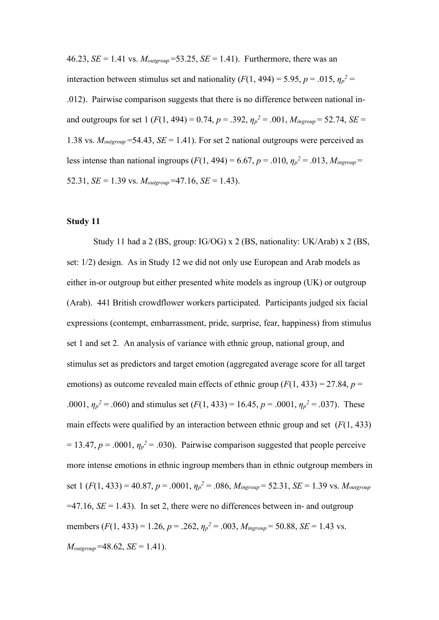46.23, *SE* = 1.41 vs.  $M_{\text{outgroup}}$  = 53.25, *SE* = 1.41). Furthermore, there was an interaction between stimulus set and nationality  $(F(1, 494) = 5.95, p = .015, \eta_p^2 =$ .012). Pairwise comparison suggests that there is no difference between national inand outgroups for set 1 ( $F(1, 494) = 0.74$ ,  $p = .392$ ,  $\eta_p^2 = .001$ ,  $M_{\text{ingroup}} = 52.74$ ,  $SE =$ 1.38 vs.  $M_{outgroup}$ =54.43,  $SE = 1.41$ ). For set 2 national outgroups were perceived as less intense than national ingroups (*F*(1, 494) = 6.67, *p* = .010,  $\eta_p^2$  = .013,  $M_{\text{insroup}}$  = 52.31, *SE* = 1.39 vs.  $M_{\text{outgroup}}$  = 47.16, *SE* = 1.43).

### **Study 11**

Study 11 had a 2 (BS, group: IG/OG) x 2 (BS, nationality: UK/Arab) x 2 (BS, set: 1/2) design. As in Study 12 we did not only use European and Arab models as either in-or outgroup but either presented white models as ingroup (UK) or outgroup (Arab). 441 British crowdflower workers participated. Participants judged six facial expressions (contempt, embarrassment, pride, surprise, fear, happiness) from stimulus set 1 and set 2. An analysis of variance with ethnic group, national group, and stimulus set as predictors and target emotion (aggregated average score for all target emotions) as outcome revealed main effects of ethnic group  $(F(1, 433) = 27.84, p =$ .0001,  $\eta_p^2 = .060$  and stimulus set  $(F(1, 433) = 16.45, p = .0001, \eta_p^2 = .037)$ . These main effects were qualified by an interaction between ethnic group and set (*F*(1, 433)  $= 13.47, p = .0001, \eta_p^2 = .030$ . Pairwise comparison suggested that people perceive more intense emotions in ethnic ingroup members than in ethnic outgroup members in set 1  $(F(1, 433) = 40.87, p = .0001, \eta_p^2 = .086, M_{ingroup} = 52.31, SE = 1.39$  vs.  $M_{outgroup}$  $=47.16$ ,  $SE = 1.43$ ). In set 2, there were no differences between in- and outgroup members  $(F(1, 433) = 1.26, p = .262, \eta_p^2 = .003, M_{\text{ingroup}} = 50.88, SE = 1.43 \text{ vs.}$  $M_{outgroup}$  =48.62, *SE* = 1.41).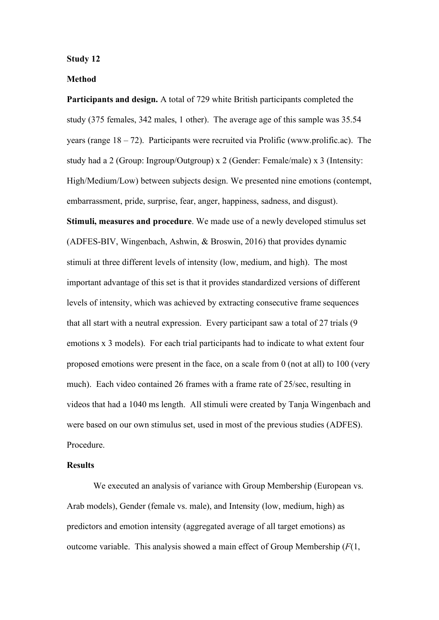#### **Study 12**

# **Method**

**Participants and design.** A total of 729 white British participants completed the study (375 females, 342 males, 1 other). The average age of this sample was 35.54 years (range 18 – 72). Participants were recruited via Prolific (www.prolific.ac). The study had a 2 (Group: Ingroup/Outgroup) x 2 (Gender: Female/male) x 3 (Intensity: High/Medium/Low) between subjects design. We presented nine emotions (contempt, embarrassment, pride, surprise, fear, anger, happiness, sadness, and disgust). **Stimuli, measures and procedure**. We made use of a newly developed stimulus set (ADFES-BIV, Wingenbach, Ashwin, & Broswin, 2016) that provides dynamic stimuli at three different levels of intensity (low, medium, and high). The most important advantage of this set is that it provides standardized versions of different levels of intensity, which was achieved by extracting consecutive frame sequences that all start with a neutral expression. Every participant saw a total of 27 trials (9 emotions x 3 models). For each trial participants had to indicate to what extent four proposed emotions were present in the face, on a scale from 0 (not at all) to 100 (very much). Each video contained 26 frames with a frame rate of 25/sec, resulting in videos that had a 1040 ms length. All stimuli were created by Tanja Wingenbach and were based on our own stimulus set, used in most of the previous studies (ADFES). Procedure.

## **Results**

We executed an analysis of variance with Group Membership (European vs. Arab models), Gender (female vs. male), and Intensity (low, medium, high) as predictors and emotion intensity (aggregated average of all target emotions) as outcome variable. This analysis showed a main effect of Group Membership (*F*(1,